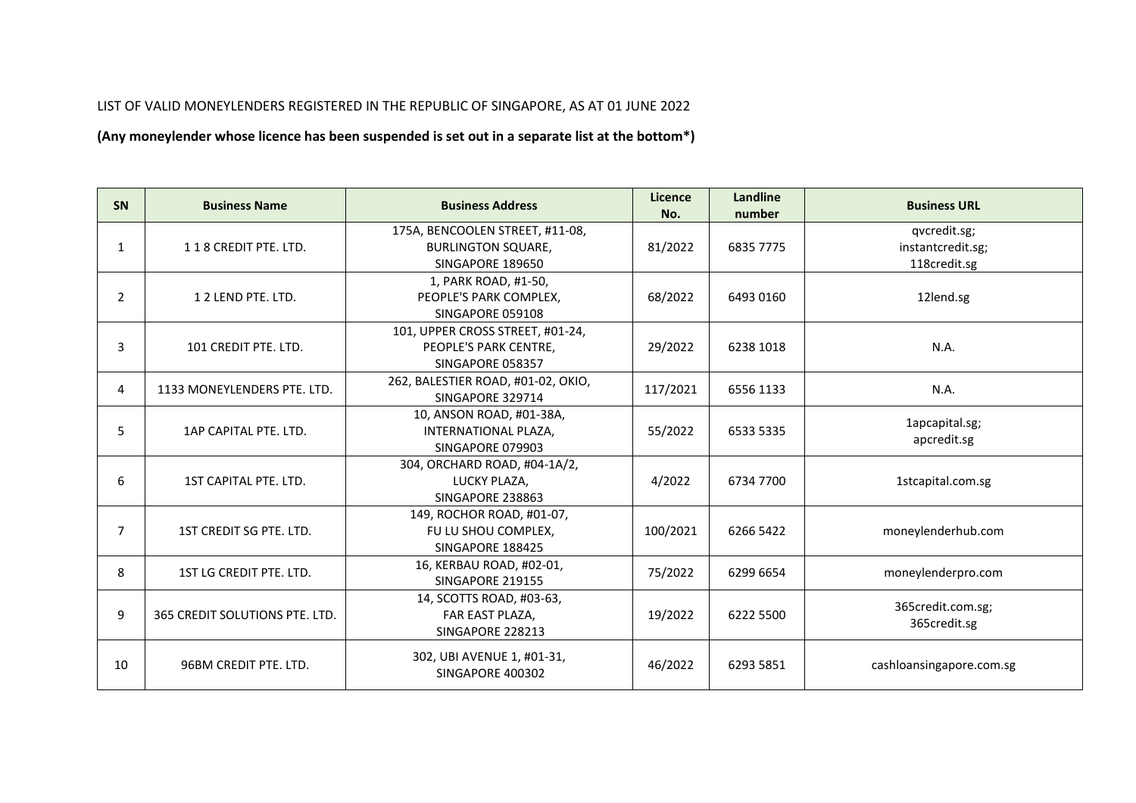## LIST OF VALID MONEYLENDERS REGISTERED IN THE REPUBLIC OF SINGAPORE, AS AT 01 JUNE 2022

**(Any moneylender whose licence has been suspended is set out in a separate list at the bottom\*)**

| SN             | <b>Business Name</b>           | <b>Business Address</b>            | Licence<br>No. | <b>Landline</b><br>number      | <b>Business URL</b>      |  |  |
|----------------|--------------------------------|------------------------------------|----------------|--------------------------------|--------------------------|--|--|
|                |                                | 175A, BENCOOLEN STREET, #11-08,    |                |                                | qvcredit.sg;             |  |  |
| 1              | 118 CREDIT PTE. LTD.           | <b>BURLINGTON SQUARE,</b>          | 81/2022        | 6835 7775                      | instantcredit.sg;        |  |  |
|                |                                | SINGAPORE 189650                   |                |                                | 118credit.sg             |  |  |
|                |                                | 1, PARK ROAD, #1-50,               |                |                                |                          |  |  |
| $\overline{2}$ | 12 LEND PTE. LTD.              | PEOPLE'S PARK COMPLEX,             | 68/2022        | 6493 0160                      | 12lend.sg                |  |  |
|                |                                | SINGAPORE 059108                   |                |                                |                          |  |  |
|                |                                | 101, UPPER CROSS STREET, #01-24,   |                |                                |                          |  |  |
| 3              | 101 CREDIT PTE. LTD.           | PEOPLE'S PARK CENTRE,              | 29/2022        | 6238 1018                      | N.A.                     |  |  |
|                |                                | SINGAPORE 058357                   |                |                                |                          |  |  |
| 4              | 1133 MONEYLENDERS PTE. LTD.    | 262, BALESTIER ROAD, #01-02, OKIO, | 117/2021       | 6556 1133                      | N.A.                     |  |  |
|                |                                | SINGAPORE 329714                   |                |                                |                          |  |  |
|                | 1AP CAPITAL PTE, LTD.          | 10, ANSON ROAD, #01-38A,           |                |                                | 1apcapital.sg;           |  |  |
| 5              |                                | INTERNATIONAL PLAZA,               | 55/2022        | 6533 5335                      | apcredit.sg              |  |  |
|                |                                | SINGAPORE 079903                   |                |                                |                          |  |  |
|                | 1ST CAPITAL PTE. LTD.          | 304, ORCHARD ROAD, #04-1A/2,       |                |                                |                          |  |  |
| 6              |                                | LUCKY PLAZA,                       | 4/2022         | 6734 7700                      | 1stcapital.com.sg        |  |  |
|                |                                | SINGAPORE 238863                   |                |                                |                          |  |  |
|                |                                | 149, ROCHOR ROAD, #01-07,          |                |                                |                          |  |  |
| $\overline{7}$ | 1ST CREDIT SG PTE. LTD.        | FU LU SHOU COMPLEX,                | 100/2021       | 6266 5422                      | moneylenderhub.com       |  |  |
|                |                                | SINGAPORE 188425                   |                |                                |                          |  |  |
| 8              | 1ST LG CREDIT PTE. LTD.        | 16, KERBAU ROAD, #02-01,           | 75/2022        | 6299 6654                      | moneylenderpro.com       |  |  |
|                |                                | SINGAPORE 219155                   |                |                                |                          |  |  |
|                |                                | 14, SCOTTS ROAD, #03-63,           |                |                                |                          |  |  |
| 9              | 365 CREDIT SOLUTIONS PTE. LTD. | FAR EAST PLAZA,                    | 19/2022        | 365credit.com.sg;<br>6222 5500 |                          |  |  |
|                |                                | SINGAPORE 228213                   |                |                                | 365credit.sg             |  |  |
|                |                                | 302, UBI AVENUE 1, #01-31,         |                |                                |                          |  |  |
| 10             | 96BM CREDIT PTE, LTD.          | SINGAPORE 400302                   | 46/2022        | 6293 5851                      | cashloansingapore.com.sg |  |  |
|                |                                |                                    |                |                                |                          |  |  |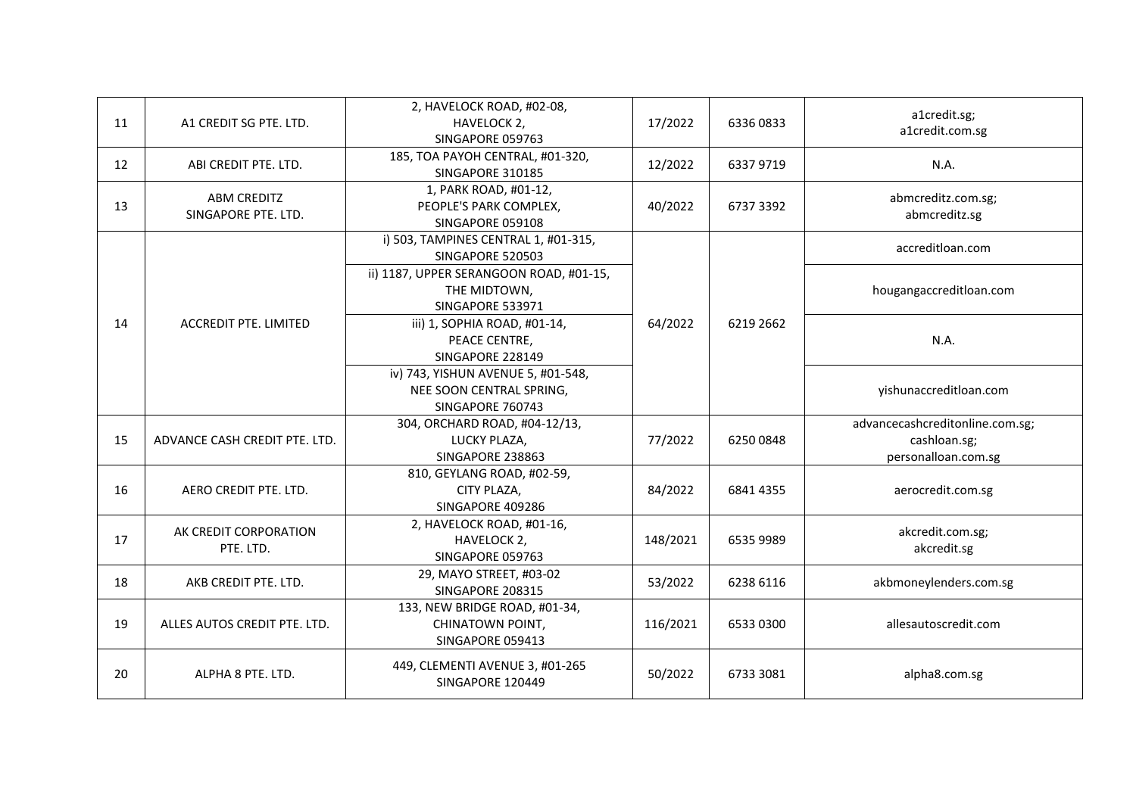| 11 | A1 CREDIT SG PTE. LTD.                    | 2, HAVELOCK ROAD, #02-08,<br>HAVELOCK 2,<br>SINGAPORE 059763                       | 17/2022  | 63360833  | a1credit.sg;<br>a1credit.com.sg                                        |
|----|-------------------------------------------|------------------------------------------------------------------------------------|----------|-----------|------------------------------------------------------------------------|
| 12 | ABI CREDIT PTE. LTD.                      | 185, TOA PAYOH CENTRAL, #01-320,<br>SINGAPORE 310185                               | 12/2022  | 63379719  | N.A.                                                                   |
| 13 | <b>ABM CREDITZ</b><br>SINGAPORE PTE. LTD. | 1, PARK ROAD, #01-12,<br>PEOPLE'S PARK COMPLEX,<br>SINGAPORE 059108                | 40/2022  | 6737 3392 | abmcreditz.com.sg;<br>abmcreditz.sg                                    |
|    |                                           | i) 503, TAMPINES CENTRAL 1, #01-315,<br>SINGAPORE 520503                           |          |           | accreditloan.com                                                       |
|    |                                           | ii) 1187, UPPER SERANGOON ROAD, #01-15,<br>THE MIDTOWN,<br>SINGAPORE 533971        |          |           | hougangaccreditloan.com                                                |
| 14 | <b>ACCREDIT PTE. LIMITED</b>              | iii) 1, SOPHIA ROAD, #01-14,<br>PEACE CENTRE,<br>SINGAPORE 228149                  | 64/2022  | 6219 2662 | N.A.                                                                   |
|    |                                           | iv) 743, YISHUN AVENUE 5, #01-548,<br>NEE SOON CENTRAL SPRING,<br>SINGAPORE 760743 |          |           | yishunaccreditloan.com                                                 |
| 15 | ADVANCE CASH CREDIT PTE. LTD.             | 304, ORCHARD ROAD, #04-12/13,<br>LUCKY PLAZA,<br>SINGAPORE 238863                  | 77/2022  | 62500848  | advancecashcreditonline.com.sg;<br>cashloan.sg;<br>personalloan.com.sg |
| 16 | AERO CREDIT PTE. LTD.                     | 810, GEYLANG ROAD, #02-59,<br>CITY PLAZA,<br>SINGAPORE 409286                      | 84/2022  | 6841 4355 | aerocredit.com.sg                                                      |
| 17 | AK CREDIT CORPORATION<br>PTE. LTD.        | 2, HAVELOCK ROAD, #01-16,<br>HAVELOCK 2,<br>SINGAPORE 059763                       | 148/2021 | 6535 9989 | akcredit.com.sg;<br>akcredit.sg                                        |
| 18 | AKB CREDIT PTE. LTD.                      | 29, MAYO STREET, #03-02<br>SINGAPORE 208315                                        | 53/2022  | 6238 6116 | akbmoneylenders.com.sg                                                 |
| 19 | ALLES AUTOS CREDIT PTE, LTD.              | 133, NEW BRIDGE ROAD, #01-34,<br>CHINATOWN POINT,<br>SINGAPORE 059413              | 116/2021 | 6533 0300 | allesautoscredit.com                                                   |
| 20 | ALPHA 8 PTE. LTD.                         | 449, CLEMENTI AVENUE 3, #01-265<br>SINGAPORE 120449                                | 50/2022  | 6733 3081 | alpha8.com.sg                                                          |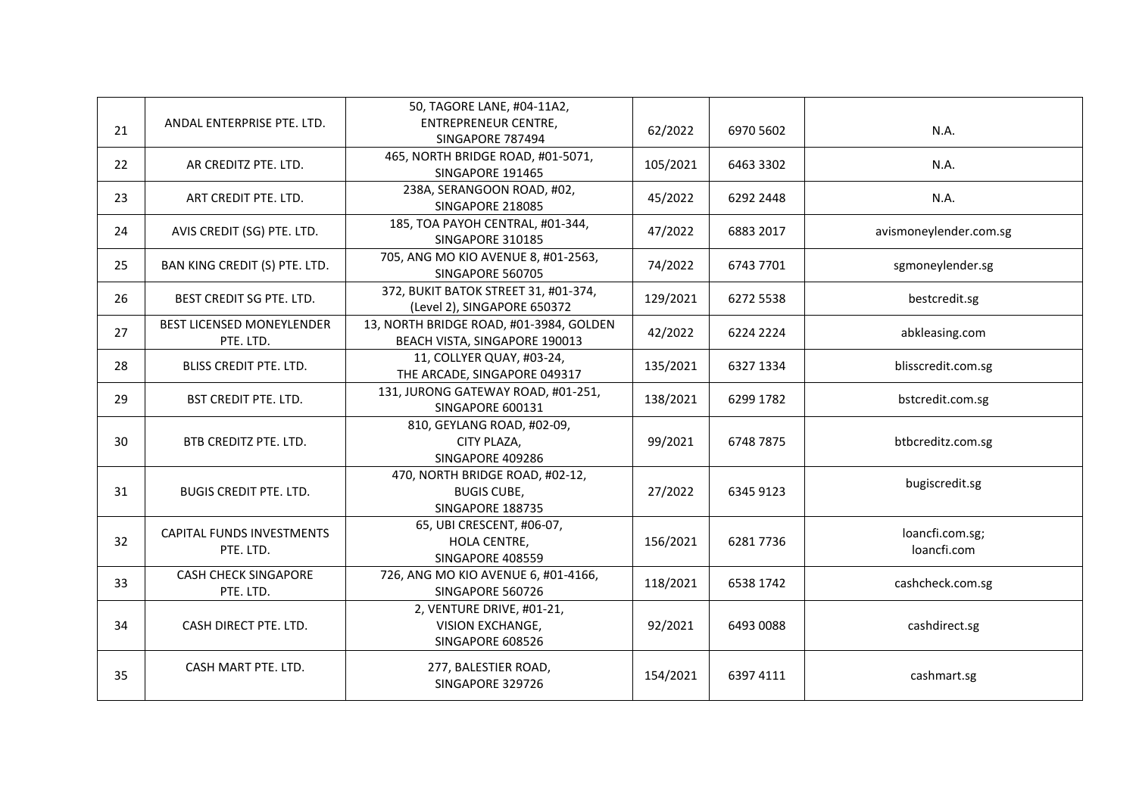|    |                                               | 50, TAGORE LANE, #04-11A2,                                                |          |           |                                |
|----|-----------------------------------------------|---------------------------------------------------------------------------|----------|-----------|--------------------------------|
| 21 | ANDAL ENTERPRISE PTE. LTD.                    | <b>ENTREPRENEUR CENTRE,</b><br>SINGAPORE 787494                           | 62/2022  | 6970 5602 | N.A.                           |
| 22 | AR CREDITZ PTE. LTD.                          | 465, NORTH BRIDGE ROAD, #01-5071,<br>SINGAPORE 191465                     | 105/2021 | 6463 3302 | N.A.                           |
| 23 | ART CREDIT PTE. LTD.                          | 238A, SERANGOON ROAD, #02,<br>SINGAPORE 218085                            | 45/2022  | 6292 2448 | N.A.                           |
| 24 | AVIS CREDIT (SG) PTE. LTD.                    | 185, TOA PAYOH CENTRAL, #01-344,<br>SINGAPORE 310185                      | 47/2022  | 6883 2017 | avismoneylender.com.sg         |
| 25 | BAN KING CREDIT (S) PTE. LTD.                 | 705, ANG MO KIO AVENUE 8, #01-2563,<br>SINGAPORE 560705                   | 74/2022  | 6743 7701 | sgmoneylender.sg               |
| 26 | BEST CREDIT SG PTE. LTD.                      | 372, BUKIT BATOK STREET 31, #01-374,<br>(Level 2), SINGAPORE 650372       | 129/2021 | 6272 5538 | bestcredit.sg                  |
| 27 | BEST LICENSED MONEYLENDER<br>PTE. LTD.        | 13, NORTH BRIDGE ROAD, #01-3984, GOLDEN<br>BEACH VISTA, SINGAPORE 190013  | 42/2022  | 6224 2224 | abkleasing.com                 |
| 28 | <b>BLISS CREDIT PTE. LTD.</b>                 | 11, COLLYER QUAY, #03-24,<br>THE ARCADE, SINGAPORE 049317                 | 135/2021 | 6327 1334 | blisscredit.com.sg             |
| 29 | <b>BST CREDIT PTE. LTD.</b>                   | 131, JURONG GATEWAY ROAD, #01-251,<br>SINGAPORE 600131                    | 138/2021 | 6299 1782 | bstcredit.com.sg               |
| 30 | BTB CREDITZ PTE. LTD.                         | 810, GEYLANG ROAD, #02-09,<br>CITY PLAZA,<br>SINGAPORE 409286             | 99/2021  | 6748 7875 | btbcreditz.com.sg              |
| 31 | <b>BUGIS CREDIT PTE. LTD.</b>                 | 470, NORTH BRIDGE ROAD, #02-12,<br><b>BUGIS CUBE,</b><br>SINGAPORE 188735 | 27/2022  | 6345 9123 | bugiscredit.sg                 |
| 32 | <b>CAPITAL FUNDS INVESTMENTS</b><br>PTE. LTD. | 65, UBI CRESCENT, #06-07,<br>HOLA CENTRE,<br>SINGAPORE 408559             | 156/2021 | 62817736  | loancfi.com.sg;<br>loancfi.com |
| 33 | <b>CASH CHECK SINGAPORE</b><br>PTE. LTD.      | 726, ANG MO KIO AVENUE 6, #01-4166,<br>SINGAPORE 560726                   | 118/2021 | 6538 1742 | cashcheck.com.sg               |
| 34 | CASH DIRECT PTE. LTD.                         | 2, VENTURE DRIVE, #01-21,<br>VISION EXCHANGE,<br>SINGAPORE 608526         | 92/2021  | 6493 0088 | cashdirect.sg                  |
| 35 | CASH MART PTE. LTD.                           | 277, BALESTIER ROAD,<br>SINGAPORE 329726                                  | 154/2021 | 6397 4111 | cashmart.sg                    |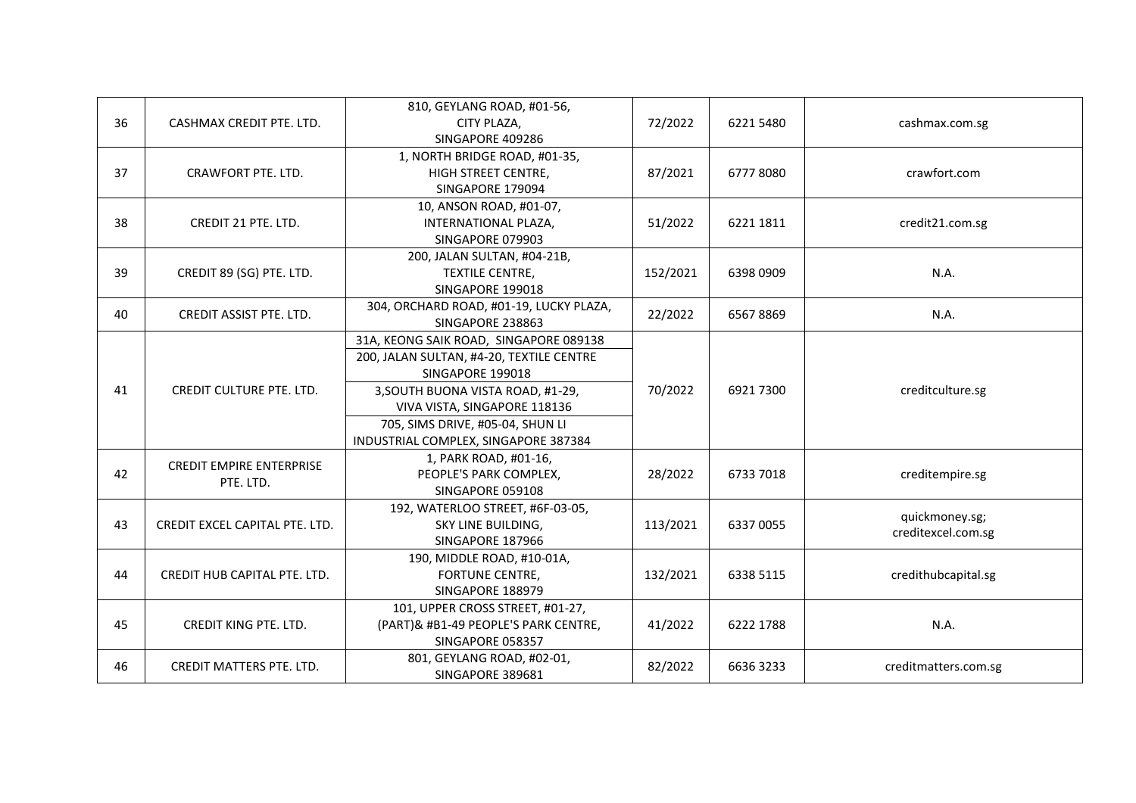| 36 | CASHMAX CREDIT PTE. LTD.                     | 810, GEYLANG ROAD, #01-56,<br>CITY PLAZA,<br>SINGAPORE 409286                                                                                                                                                                                           | 72/2022  | 6221 5480 | cashmax.com.sg                       |
|----|----------------------------------------------|---------------------------------------------------------------------------------------------------------------------------------------------------------------------------------------------------------------------------------------------------------|----------|-----------|--------------------------------------|
| 37 | CRAWFORT PTE. LTD.                           | 1, NORTH BRIDGE ROAD, #01-35,<br>HIGH STREET CENTRE,<br>SINGAPORE 179094                                                                                                                                                                                | 87/2021  | 67778080  | crawfort.com                         |
| 38 | CREDIT 21 PTE. LTD.                          | 10, ANSON ROAD, #01-07,<br>INTERNATIONAL PLAZA,<br>SINGAPORE 079903                                                                                                                                                                                     | 51/2022  | 6221 1811 | credit21.com.sg                      |
| 39 | CREDIT 89 (SG) PTE. LTD.                     | 200, JALAN SULTAN, #04-21B,<br>TEXTILE CENTRE,<br>SINGAPORE 199018                                                                                                                                                                                      | 152/2021 | 6398 0909 | N.A.                                 |
| 40 | CREDIT ASSIST PTE. LTD.                      | 304, ORCHARD ROAD, #01-19, LUCKY PLAZA,<br>SINGAPORE 238863                                                                                                                                                                                             | 22/2022  | 65678869  | N.A.                                 |
| 41 | <b>CREDIT CULTURE PTE. LTD.</b>              | 31A, KEONG SAIK ROAD, SINGAPORE 089138<br>200, JALAN SULTAN, #4-20, TEXTILE CENTRE<br>SINGAPORE 199018<br>3, SOUTH BUONA VISTA ROAD, #1-29,<br>VIVA VISTA, SINGAPORE 118136<br>705, SIMS DRIVE, #05-04, SHUN LI<br>INDUSTRIAL COMPLEX, SINGAPORE 387384 | 70/2022  | 6921 7300 | creditculture.sg                     |
| 42 | <b>CREDIT EMPIRE ENTERPRISE</b><br>PTE. LTD. | 1, PARK ROAD, #01-16,<br>PEOPLE'S PARK COMPLEX,<br>SINGAPORE 059108                                                                                                                                                                                     | 28/2022  | 6733 7018 | creditempire.sg                      |
| 43 | CREDIT EXCEL CAPITAL PTE. LTD.               | 192, WATERLOO STREET, #6F-03-05,<br>SKY LINE BUILDING,<br>SINGAPORE 187966                                                                                                                                                                              | 113/2021 | 6337 0055 | quickmoney.sg;<br>creditexcel.com.sg |
| 44 | CREDIT HUB CAPITAL PTE. LTD.                 | 190, MIDDLE ROAD, #10-01A,<br><b>FORTUNE CENTRE,</b><br>SINGAPORE 188979                                                                                                                                                                                | 132/2021 | 6338 5115 | credithubcapital.sg                  |
| 45 | CREDIT KING PTE. LTD.                        | 101, UPPER CROSS STREET, #01-27,<br>(PART)& #B1-49 PEOPLE'S PARK CENTRE,<br>SINGAPORE 058357                                                                                                                                                            | 41/2022  | 6222 1788 | N.A.                                 |
| 46 | <b>CREDIT MATTERS PTE. LTD.</b>              | 801, GEYLANG ROAD, #02-01,<br>SINGAPORE 389681                                                                                                                                                                                                          | 82/2022  | 6636 3233 | creditmatters.com.sg                 |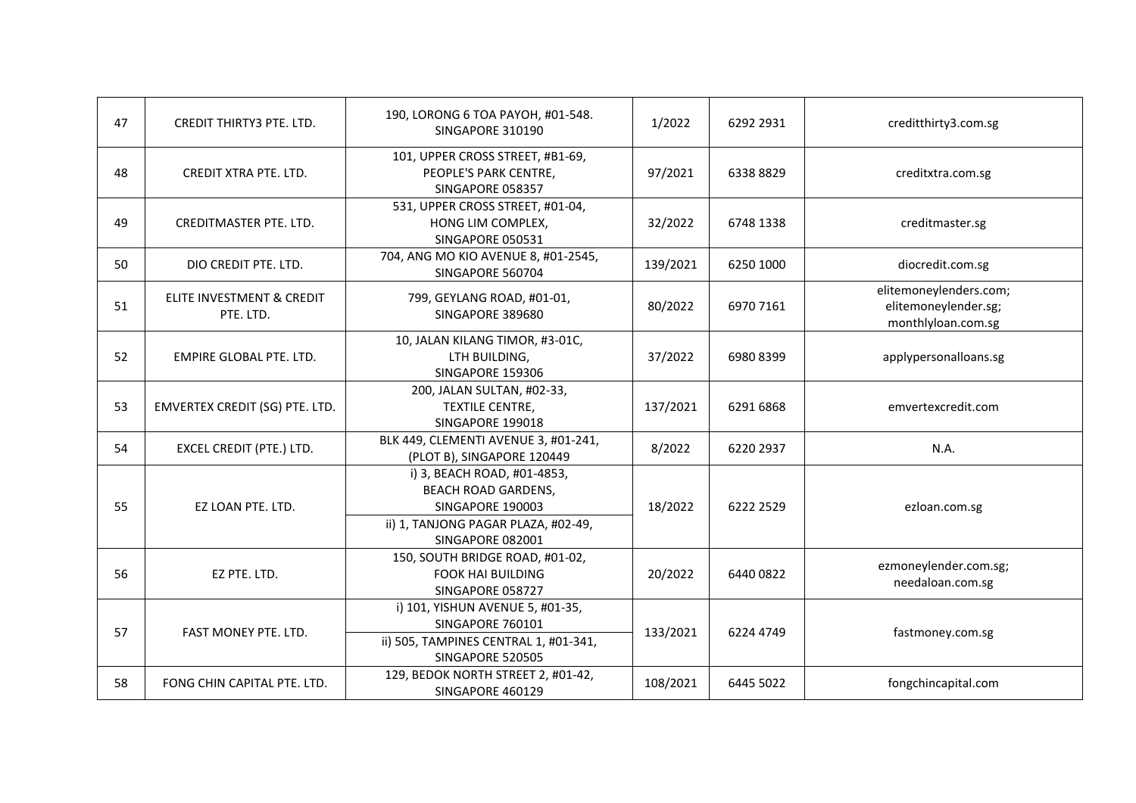| 47 | CREDIT THIRTY3 PTE. LTD.               | 190, LORONG 6 TOA PAYOH, #01-548.<br>SINGAPORE 310190                                                                                    | 1/2022   | 6292 2931 | creditthirty3.com.sg                                                 |
|----|----------------------------------------|------------------------------------------------------------------------------------------------------------------------------------------|----------|-----------|----------------------------------------------------------------------|
| 48 | CREDIT XTRA PTE. LTD.                  | 101, UPPER CROSS STREET, #B1-69,<br>PEOPLE'S PARK CENTRE,<br>SINGAPORE 058357                                                            | 97/2021  | 63388829  | creditxtra.com.sg                                                    |
| 49 | <b>CREDITMASTER PTE. LTD.</b>          | 531, UPPER CROSS STREET, #01-04,<br>HONG LIM COMPLEX,<br>SINGAPORE 050531                                                                | 32/2022  | 6748 1338 | creditmaster.sg                                                      |
| 50 | DIO CREDIT PTE. LTD.                   | 704, ANG MO KIO AVENUE 8, #01-2545,<br>SINGAPORE 560704                                                                                  | 139/2021 | 6250 1000 | diocredit.com.sg                                                     |
| 51 | ELITE INVESTMENT & CREDIT<br>PTE. LTD. | 799, GEYLANG ROAD, #01-01,<br>SINGAPORE 389680                                                                                           | 80/2022  | 6970 7161 | elitemoneylenders.com;<br>elitemoneylender.sg;<br>monthlyloan.com.sg |
| 52 | EMPIRE GLOBAL PTE. LTD.                | 10, JALAN KILANG TIMOR, #3-01C,<br>LTH BUILDING,<br>SINGAPORE 159306                                                                     | 37/2022  | 69808399  | applypersonalloans.sg                                                |
| 53 | EMVERTEX CREDIT (SG) PTE. LTD.         | 200, JALAN SULTAN, #02-33,<br>TEXTILE CENTRE,<br>SINGAPORE 199018                                                                        | 137/2021 | 6291 6868 | emvertexcredit.com                                                   |
| 54 | <b>EXCEL CREDIT (PTE.) LTD.</b>        | BLK 449, CLEMENTI AVENUE 3, #01-241,<br>(PLOT B), SINGAPORE 120449                                                                       | 8/2022   | 6220 2937 | N.A.                                                                 |
| 55 | EZ LOAN PTE. LTD.                      | i) 3, BEACH ROAD, #01-4853,<br><b>BEACH ROAD GARDENS,</b><br>SINGAPORE 190003<br>ii) 1, TANJONG PAGAR PLAZA, #02-49,<br>SINGAPORE 082001 | 18/2022  | 6222 2529 | ezloan.com.sg                                                        |
| 56 | EZ PTE. LTD.                           | 150, SOUTH BRIDGE ROAD, #01-02,<br><b>FOOK HAI BUILDING</b><br>SINGAPORE 058727                                                          | 20/2022  | 6440 0822 | ezmoneylender.com.sg;<br>needaloan.com.sg                            |
| 57 | FAST MONEY PTE. LTD.                   | i) 101, YISHUN AVENUE 5, #01-35,<br>SINGAPORE 760101<br>ii) 505, TAMPINES CENTRAL 1, #01-341,<br>SINGAPORE 520505                        | 133/2021 | 6224 4749 | fastmoney.com.sg                                                     |
| 58 | FONG CHIN CAPITAL PTE. LTD.            | 129, BEDOK NORTH STREET 2, #01-42,<br>SINGAPORE 460129                                                                                   | 108/2021 | 6445 5022 | fongchincapital.com                                                  |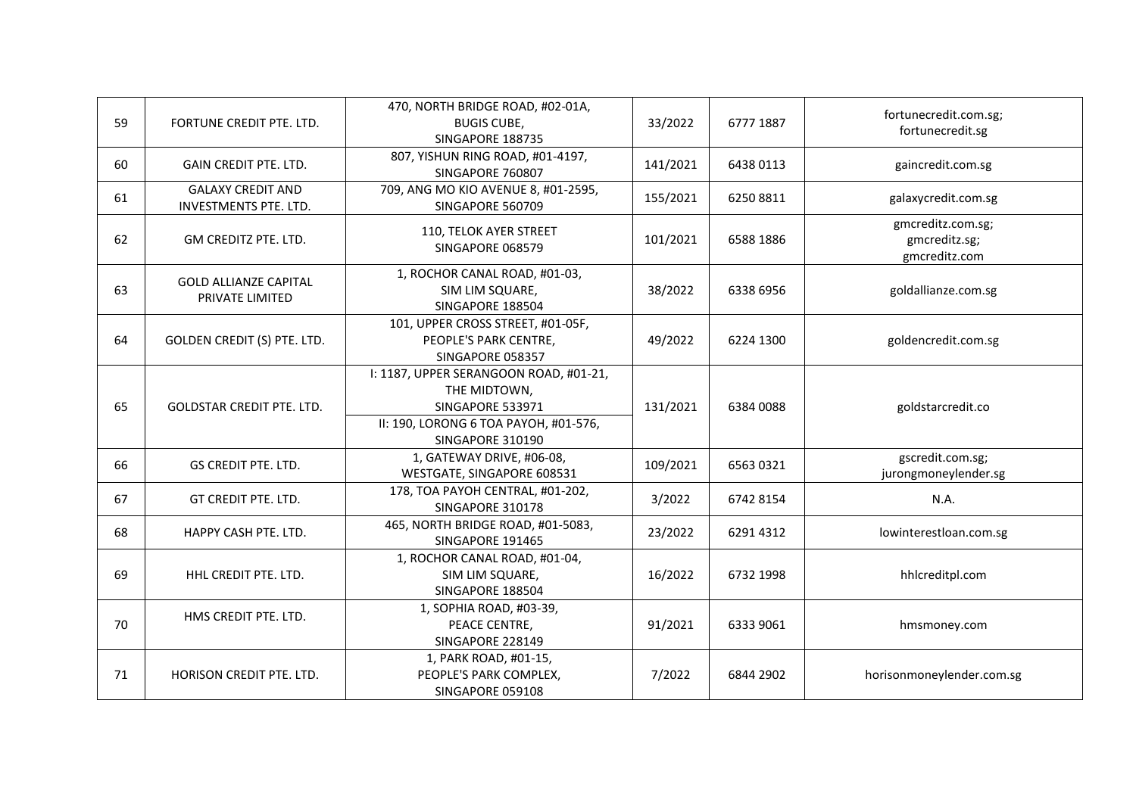| 59 | FORTUNE CREDIT PTE. LTD.                          | 470, NORTH BRIDGE ROAD, #02-01A,<br><b>BUGIS CUBE,</b><br>SINGAPORE 188735                                                              | 33/2022  | 6777 1887 | fortunecredit.com.sg;<br>fortunecredit.sg           |
|----|---------------------------------------------------|-----------------------------------------------------------------------------------------------------------------------------------------|----------|-----------|-----------------------------------------------------|
| 60 | <b>GAIN CREDIT PTE. LTD.</b>                      | 807, YISHUN RING ROAD, #01-4197,<br>SINGAPORE 760807                                                                                    | 141/2021 | 6438 0113 | gaincredit.com.sg                                   |
| 61 | <b>GALAXY CREDIT AND</b><br>INVESTMENTS PTE. LTD. | 709, ANG MO KIO AVENUE 8, #01-2595,<br>SINGAPORE 560709                                                                                 | 155/2021 | 62508811  | galaxycredit.com.sg                                 |
| 62 | GM CREDITZ PTE. LTD.                              | 110, TELOK AYER STREET<br>SINGAPORE 068579                                                                                              | 101/2021 | 6588 1886 | gmcreditz.com.sg;<br>gmcreditz.sg;<br>gmcreditz.com |
| 63 | <b>GOLD ALLIANZE CAPITAL</b><br>PRIVATE LIMITED   | 1, ROCHOR CANAL ROAD, #01-03,<br>SIM LIM SQUARE,<br>SINGAPORE 188504                                                                    | 38/2022  | 6338 6956 | goldallianze.com.sg                                 |
| 64 | GOLDEN CREDIT (S) PTE. LTD.                       | 101, UPPER CROSS STREET, #01-05F,<br>PEOPLE'S PARK CENTRE,<br>SINGAPORE 058357                                                          | 49/2022  | 6224 1300 | goldencredit.com.sg                                 |
| 65 | <b>GOLDSTAR CREDIT PTE. LTD.</b>                  | I: 1187, UPPER SERANGOON ROAD, #01-21,<br>THE MIDTOWN,<br>SINGAPORE 533971<br>II: 190, LORONG 6 TOA PAYOH, #01-576,<br>SINGAPORE 310190 | 131/2021 | 6384 0088 | goldstarcredit.co                                   |
| 66 | GS CREDIT PTE. LTD.                               | 1, GATEWAY DRIVE, #06-08,<br>WESTGATE, SINGAPORE 608531                                                                                 | 109/2021 | 65630321  | gscredit.com.sg;<br>jurongmoneylender.sg            |
| 67 | GT CREDIT PTE. LTD.                               | 178, TOA PAYOH CENTRAL, #01-202,<br>SINGAPORE 310178                                                                                    | 3/2022   | 6742 8154 | N.A.                                                |
| 68 | HAPPY CASH PTE. LTD.                              | 465, NORTH BRIDGE ROAD, #01-5083,<br>SINGAPORE 191465                                                                                   | 23/2022  | 6291 4312 | lowinterestloan.com.sg                              |
| 69 | HHL CREDIT PTE. LTD.                              | 1, ROCHOR CANAL ROAD, #01-04,<br>SIM LIM SQUARE,<br>SINGAPORE 188504                                                                    | 16/2022  | 6732 1998 | hhlcreditpl.com                                     |
| 70 | HMS CREDIT PTE. LTD.                              | 1, SOPHIA ROAD, #03-39,<br>PEACE CENTRE,<br>SINGAPORE 228149                                                                            | 91/2021  | 6333 9061 | hmsmoney.com                                        |
| 71 | <b>HORISON CREDIT PTE. LTD.</b>                   | 1, PARK ROAD, #01-15,<br>PEOPLE'S PARK COMPLEX,<br>SINGAPORE 059108                                                                     | 7/2022   | 6844 2902 | horisonmoneylender.com.sg                           |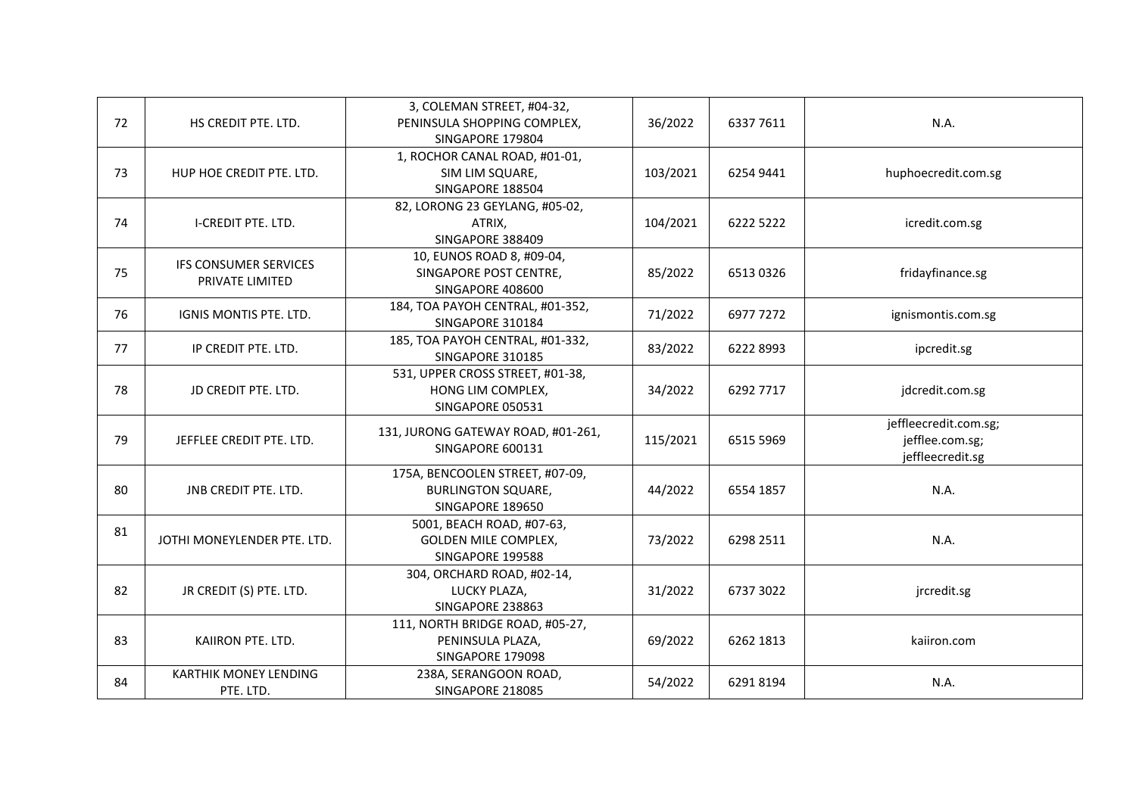| 72 | HS CREDIT PTE. LTD.                             | 3, COLEMAN STREET, #04-32,<br>PENINSULA SHOPPING COMPLEX,<br>SINGAPORE 179804    | 36/2022  | 6337 7611 | N.A.                                                         |
|----|-------------------------------------------------|----------------------------------------------------------------------------------|----------|-----------|--------------------------------------------------------------|
| 73 | HUP HOE CREDIT PTE. LTD.                        | 1, ROCHOR CANAL ROAD, #01-01,<br>SIM LIM SQUARE,<br>SINGAPORE 188504             | 103/2021 | 6254 9441 | huphoecredit.com.sg                                          |
| 74 | <b>I-CREDIT PTE. LTD.</b>                       | 82, LORONG 23 GEYLANG, #05-02,<br>ATRIX,<br>SINGAPORE 388409                     | 104/2021 | 6222 5222 | icredit.com.sg                                               |
| 75 | <b>IFS CONSUMER SERVICES</b><br>PRIVATE LIMITED | 10, EUNOS ROAD 8, #09-04,<br>SINGAPORE POST CENTRE,<br>SINGAPORE 408600          | 85/2022  | 65130326  | fridayfinance.sg                                             |
| 76 | IGNIS MONTIS PTE. LTD.                          | 184, TOA PAYOH CENTRAL, #01-352,<br>SINGAPORE 310184                             | 71/2022  | 6977 7272 | ignismontis.com.sg                                           |
| 77 | IP CREDIT PTE. LTD.                             | 185, TOA PAYOH CENTRAL, #01-332,<br>SINGAPORE 310185                             | 83/2022  | 6222 8993 | ipcredit.sg                                                  |
| 78 | JD CREDIT PTE. LTD.                             | 531, UPPER CROSS STREET, #01-38,<br>HONG LIM COMPLEX,<br>SINGAPORE 050531        | 34/2022  | 6292 7717 | jdcredit.com.sg                                              |
| 79 | JEFFLEE CREDIT PTE. LTD.                        | 131, JURONG GATEWAY ROAD, #01-261,<br>SINGAPORE 600131                           | 115/2021 | 6515 5969 | jeffleecredit.com.sg;<br>jefflee.com.sg;<br>jeffleecredit.sg |
| 80 | <b>JNB CREDIT PTE. LTD.</b>                     | 175A, BENCOOLEN STREET, #07-09,<br><b>BURLINGTON SQUARE,</b><br>SINGAPORE 189650 | 44/2022  | 6554 1857 | N.A.                                                         |
| 81 | JOTHI MONEYLENDER PTE. LTD.                     | 5001, BEACH ROAD, #07-63,<br><b>GOLDEN MILE COMPLEX,</b><br>SINGAPORE 199588     | 73/2022  | 6298 2511 | N.A.                                                         |
| 82 | JR CREDIT (S) PTE. LTD.                         | 304, ORCHARD ROAD, #02-14,<br>LUCKY PLAZA,<br>SINGAPORE 238863                   | 31/2022  | 6737 3022 | jrcredit.sg                                                  |
| 83 | KAIIRON PTE. LTD.                               | 111, NORTH BRIDGE ROAD, #05-27,<br>PENINSULA PLAZA,<br>SINGAPORE 179098          | 69/2022  | 6262 1813 | kaiiron.com                                                  |
| 84 | <b>KARTHIK MONEY LENDING</b><br>PTE. LTD.       | 238A, SERANGOON ROAD,<br>SINGAPORE 218085                                        | 54/2022  | 62918194  | N.A.                                                         |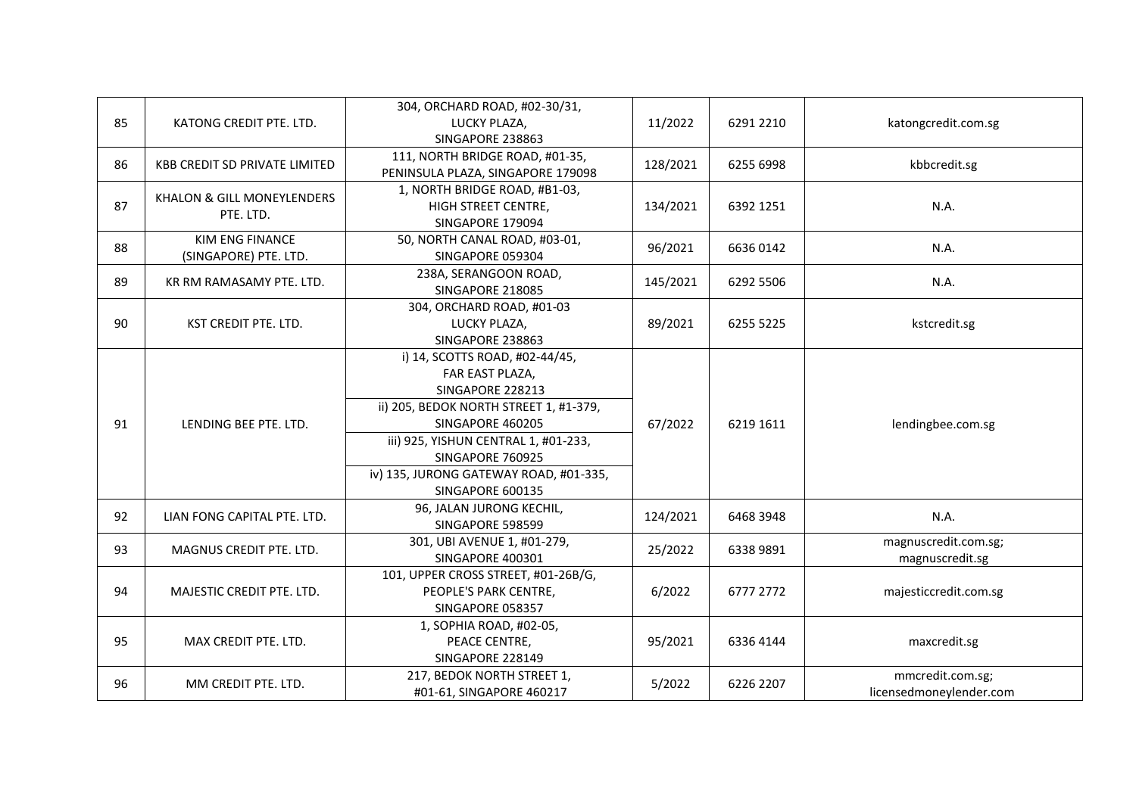| 85 | KATONG CREDIT PTE. LTD.                         | 304, ORCHARD ROAD, #02-30/31,<br>LUCKY PLAZA,<br>SINGAPORE 238863                                                                                                                                                                                             | 11/2022  | 6291 2210 | katongcredit.com.sg                         |
|----|-------------------------------------------------|---------------------------------------------------------------------------------------------------------------------------------------------------------------------------------------------------------------------------------------------------------------|----------|-----------|---------------------------------------------|
| 86 | <b>KBB CREDIT SD PRIVATE LIMITED</b>            | 111, NORTH BRIDGE ROAD, #01-35,<br>PENINSULA PLAZA, SINGAPORE 179098                                                                                                                                                                                          | 128/2021 | 6255 6998 | kbbcredit.sg                                |
| 87 | KHALON & GILL MONEYLENDERS<br>PTE. LTD.         | 1, NORTH BRIDGE ROAD, #B1-03,<br>HIGH STREET CENTRE,<br>SINGAPORE 179094                                                                                                                                                                                      | 134/2021 | 6392 1251 | N.A.                                        |
| 88 | <b>KIM ENG FINANCE</b><br>(SINGAPORE) PTE. LTD. | 50, NORTH CANAL ROAD, #03-01,<br>SINGAPORE 059304                                                                                                                                                                                                             | 96/2021  | 66360142  | N.A.                                        |
| 89 | KR RM RAMASAMY PTE. LTD.                        | 238A, SERANGOON ROAD,<br>SINGAPORE 218085                                                                                                                                                                                                                     | 145/2021 | 6292 5506 | N.A.                                        |
| 90 | KST CREDIT PTE. LTD.                            | 304, ORCHARD ROAD, #01-03<br>LUCKY PLAZA,<br>SINGAPORE 238863                                                                                                                                                                                                 | 89/2021  | 6255 5225 | kstcredit.sg                                |
| 91 | LENDING BEE PTE. LTD.                           | i) 14, SCOTTS ROAD, #02-44/45,<br>FAR EAST PLAZA,<br>SINGAPORE 228213<br>ii) 205, BEDOK NORTH STREET 1, #1-379,<br>SINGAPORE 460205<br>iii) 925, YISHUN CENTRAL 1, #01-233,<br>SINGAPORE 760925<br>iv) 135, JURONG GATEWAY ROAD, #01-335,<br>SINGAPORE 600135 | 67/2022  | 6219 1611 | lendingbee.com.sg                           |
| 92 | LIAN FONG CAPITAL PTE. LTD.                     | 96, JALAN JURONG KECHIL,<br>SINGAPORE 598599                                                                                                                                                                                                                  | 124/2021 | 6468 3948 | N.A.                                        |
| 93 | MAGNUS CREDIT PTE. LTD.                         | 301, UBI AVENUE 1, #01-279,<br>SINGAPORE 400301                                                                                                                                                                                                               | 25/2022  | 6338 9891 | magnuscredit.com.sg;<br>magnuscredit.sg     |
| 94 | MAJESTIC CREDIT PTE. LTD.                       | 101, UPPER CROSS STREET, #01-26B/G,<br>PEOPLE'S PARK CENTRE,<br>SINGAPORE 058357                                                                                                                                                                              | 6/2022   | 6777 2772 | majesticcredit.com.sg                       |
| 95 | MAX CREDIT PTE. LTD.                            | 1, SOPHIA ROAD, #02-05,<br>PEACE CENTRE,<br>SINGAPORE 228149                                                                                                                                                                                                  | 95/2021  | 6336 4144 | maxcredit.sg                                |
| 96 | MM CREDIT PTE. LTD.                             | 217, BEDOK NORTH STREET 1,<br>#01-61, SINGAPORE 460217                                                                                                                                                                                                        | 5/2022   | 6226 2207 | mmcredit.com.sg;<br>licensedmoneylender.com |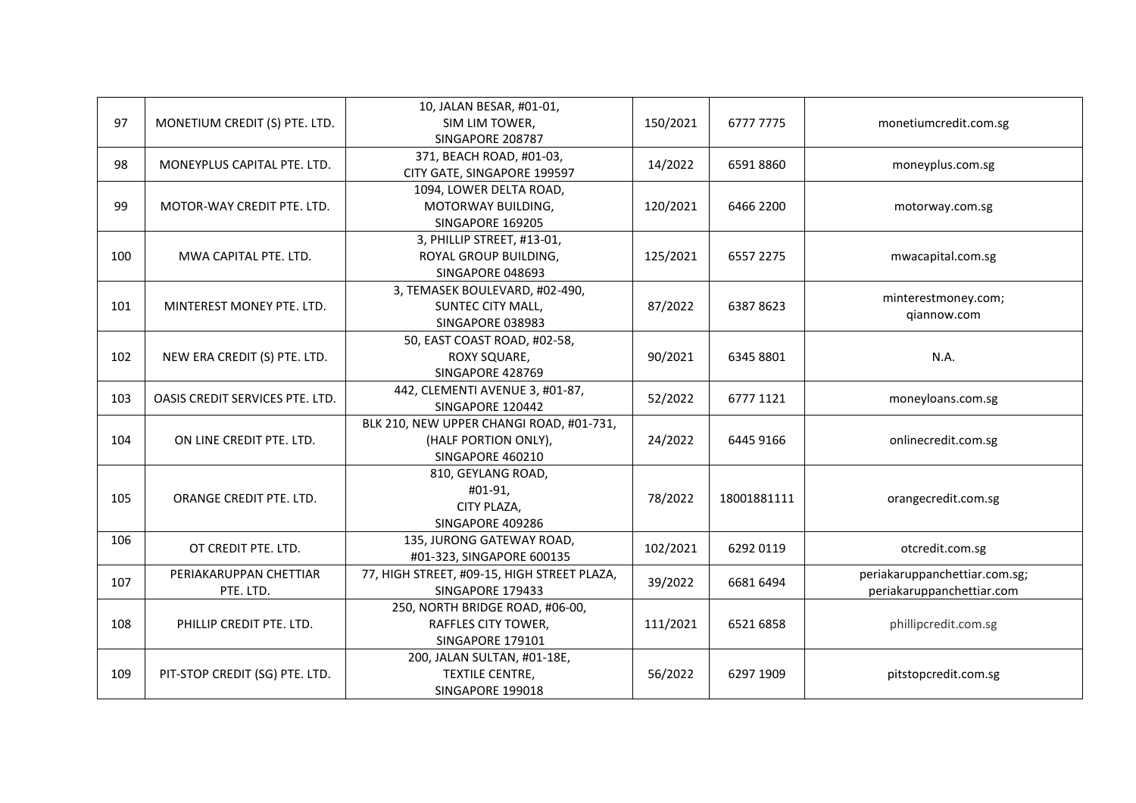| 97  | MONETIUM CREDIT (S) PTE. LTD.   | 10, JALAN BESAR, #01-01,<br>SIM LIM TOWER,  | 150/2021 | 6777 7775                         | monetiumcredit.com.sg              |
|-----|---------------------------------|---------------------------------------------|----------|-----------------------------------|------------------------------------|
|     |                                 | SINGAPORE 208787                            |          |                                   |                                    |
| 98  | MONEYPLUS CAPITAL PTE. LTD.     | 371, BEACH ROAD, #01-03,                    | 14/2022  | 65918860                          | moneyplus.com.sg                   |
|     |                                 | CITY GATE, SINGAPORE 199597                 |          |                                   |                                    |
|     |                                 | 1094, LOWER DELTA ROAD,                     |          |                                   |                                    |
| 99  | MOTOR-WAY CREDIT PTE. LTD.      | MOTORWAY BUILDING,                          | 120/2021 | 6466 2200                         | motorway.com.sg                    |
|     |                                 | SINGAPORE 169205                            |          |                                   |                                    |
|     |                                 | 3, PHILLIP STREET, #13-01,                  |          |                                   |                                    |
| 100 | MWA CAPITAL PTE. LTD.           | ROYAL GROUP BUILDING,                       | 125/2021 | 6557 2275                         | mwacapital.com.sg                  |
|     |                                 | SINGAPORE 048693                            |          |                                   |                                    |
|     |                                 | 3, TEMASEK BOULEVARD, #02-490,              |          |                                   |                                    |
| 101 | MINTEREST MONEY PTE. LTD.       | SUNTEC CITY MALL,                           | 87/2022  | 63878623                          | minterestmoney.com;<br>qiannow.com |
|     |                                 | SINGAPORE 038983                            |          |                                   |                                    |
|     |                                 | 50, EAST COAST ROAD, #02-58,                |          |                                   |                                    |
| 102 | NEW ERA CREDIT (S) PTE. LTD.    | ROXY SQUARE,                                | 90/2021  | 6345 8801                         | N.A.                               |
|     |                                 | SINGAPORE 428769                            |          |                                   |                                    |
| 103 | OASIS CREDIT SERVICES PTE. LTD. | 442, CLEMENTI AVENUE 3, #01-87,             | 52/2022  | 6777 1121                         | moneyloans.com.sg                  |
|     |                                 | SINGAPORE 120442                            |          |                                   |                                    |
|     | ON LINE CREDIT PTE. LTD.        | BLK 210, NEW UPPER CHANGI ROAD, #01-731,    |          |                                   |                                    |
| 104 |                                 | (HALF PORTION ONLY),                        | 24/2022  | 6445 9166                         | onlinecredit.com.sg                |
|     |                                 | SINGAPORE 460210                            |          |                                   |                                    |
|     |                                 | 810, GEYLANG ROAD,                          |          |                                   |                                    |
| 105 | ORANGE CREDIT PTE. LTD.         | #01-91,                                     | 78/2022  | 18001881111                       | orangecredit.com.sg                |
|     |                                 | CITY PLAZA,                                 |          |                                   |                                    |
|     |                                 | SINGAPORE 409286                            |          |                                   |                                    |
| 106 | OT CREDIT PTE. LTD.             | 135, JURONG GATEWAY ROAD,                   | 102/2021 | 6292 0119                         | otcredit.com.sg                    |
|     |                                 | #01-323, SINGAPORE 600135                   |          |                                   |                                    |
| 107 | PERIAKARUPPAN CHETTIAR          | 77, HIGH STREET, #09-15, HIGH STREET PLAZA, | 39/2022  | 6681 6494                         | periakaruppanchettiar.com.sg;      |
|     | PTE. LTD.                       | SINGAPORE 179433                            |          |                                   | periakaruppanchettiar.com          |
|     |                                 | 250, NORTH BRIDGE ROAD, #06-00,             |          |                                   |                                    |
| 108 | PHILLIP CREDIT PTE. LTD.        | RAFFLES CITY TOWER,                         | 111/2021 | 6521 6858<br>phillipcredit.com.sg |                                    |
|     |                                 | SINGAPORE 179101                            |          |                                   |                                    |
|     |                                 | 200, JALAN SULTAN, #01-18E,                 |          |                                   |                                    |
| 109 | PIT-STOP CREDIT (SG) PTE. LTD.  | TEXTILE CENTRE,                             | 56/2022  | 6297 1909                         | pitstopcredit.com.sg               |
|     |                                 | SINGAPORE 199018                            |          |                                   |                                    |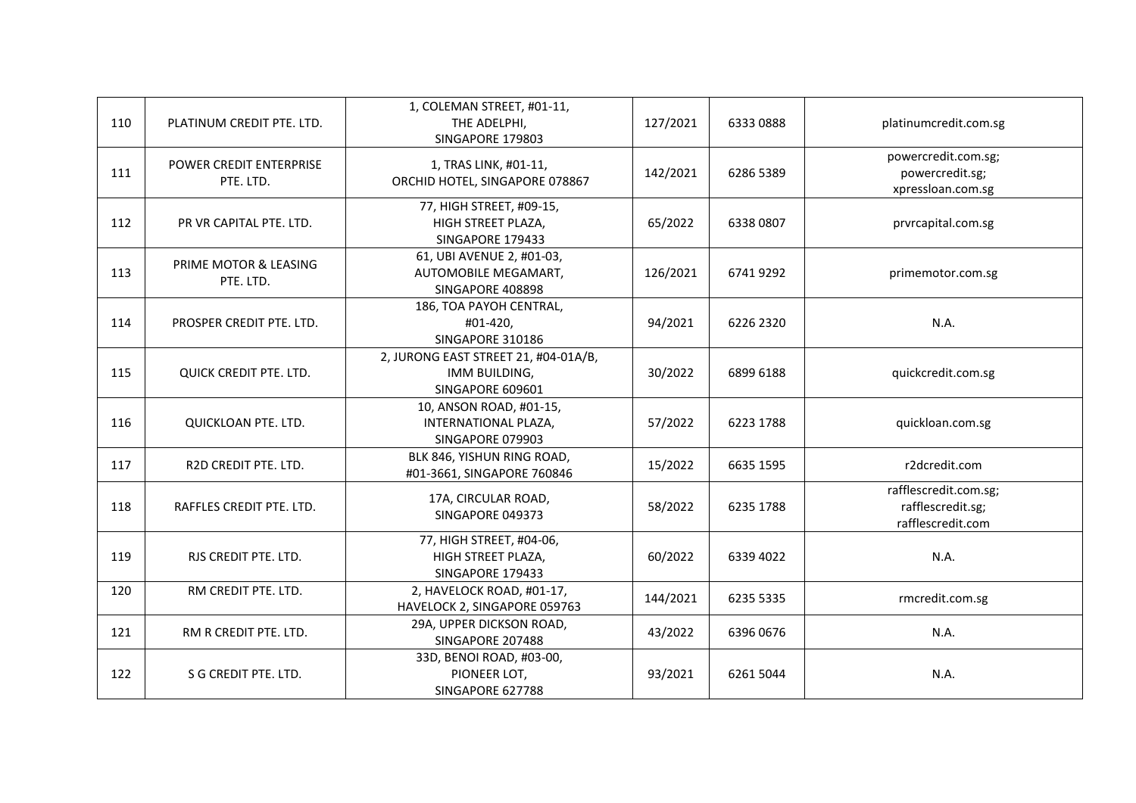| 110 | PLATINUM CREDIT PTE. LTD.                   | 1, COLEMAN STREET, #01-11,<br>THE ADELPHI,<br>SINGAPORE 179803            | 127/2021 | 63330888  | platinumcredit.com.sg                                           |
|-----|---------------------------------------------|---------------------------------------------------------------------------|----------|-----------|-----------------------------------------------------------------|
| 111 | <b>POWER CREDIT ENTERPRISE</b><br>PTE. LTD. | 1, TRAS LINK, #01-11,<br>ORCHID HOTEL, SINGAPORE 078867                   | 142/2021 | 6286 5389 | powercredit.com.sg;<br>powercredit.sg;<br>xpressloan.com.sg     |
| 112 | PR VR CAPITAL PTE. LTD.                     | 77, HIGH STREET, #09-15,<br>HIGH STREET PLAZA,<br>SINGAPORE 179433        | 65/2022  | 6338 0807 | prvrcapital.com.sg                                              |
| 113 | PRIME MOTOR & LEASING<br>PTE. LTD.          | 61, UBI AVENUE 2, #01-03,<br>AUTOMOBILE MEGAMART,<br>SINGAPORE 408898     | 126/2021 | 67419292  | primemotor.com.sg                                               |
| 114 | PROSPER CREDIT PTE. LTD.                    | 186, TOA PAYOH CENTRAL,<br>#01-420,<br>SINGAPORE 310186                   | 94/2021  | 6226 2320 | N.A.                                                            |
| 115 | QUICK CREDIT PTE. LTD.                      | 2, JURONG EAST STREET 21, #04-01A/B,<br>IMM BUILDING,<br>SINGAPORE 609601 | 30/2022  | 6899 6188 | quickcredit.com.sg                                              |
| 116 | QUICKLOAN PTE. LTD.                         | 10, ANSON ROAD, #01-15,<br>INTERNATIONAL PLAZA,<br>SINGAPORE 079903       | 57/2022  | 6223 1788 | quickloan.com.sg                                                |
| 117 | R2D CREDIT PTE. LTD.                        | BLK 846, YISHUN RING ROAD,<br>#01-3661, SINGAPORE 760846                  | 15/2022  | 6635 1595 | r2dcredit.com                                                   |
| 118 | RAFFLES CREDIT PTE. LTD.                    | 17A, CIRCULAR ROAD,<br>SINGAPORE 049373                                   | 58/2022  | 6235 1788 | rafflescredit.com.sg;<br>rafflescredit.sg;<br>rafflescredit.com |
| 119 | RJS CREDIT PTE. LTD.                        | 77, HIGH STREET, #04-06,<br>HIGH STREET PLAZA,<br>SINGAPORE 179433        | 60/2022  | 6339 4022 | N.A.                                                            |
| 120 | RM CREDIT PTE. LTD.                         | 2, HAVELOCK ROAD, #01-17,<br>HAVELOCK 2, SINGAPORE 059763                 | 144/2021 | 6235 5335 | rmcredit.com.sg                                                 |
| 121 | RM R CREDIT PTE. LTD.                       | 29A, UPPER DICKSON ROAD,<br>SINGAPORE 207488                              | 43/2022  | 6396 0676 | N.A.                                                            |
| 122 | S G CREDIT PTE. LTD.                        | 33D, BENOI ROAD, #03-00,<br>PIONEER LOT,<br>SINGAPORE 627788              | 93/2021  | 6261 5044 | N.A.                                                            |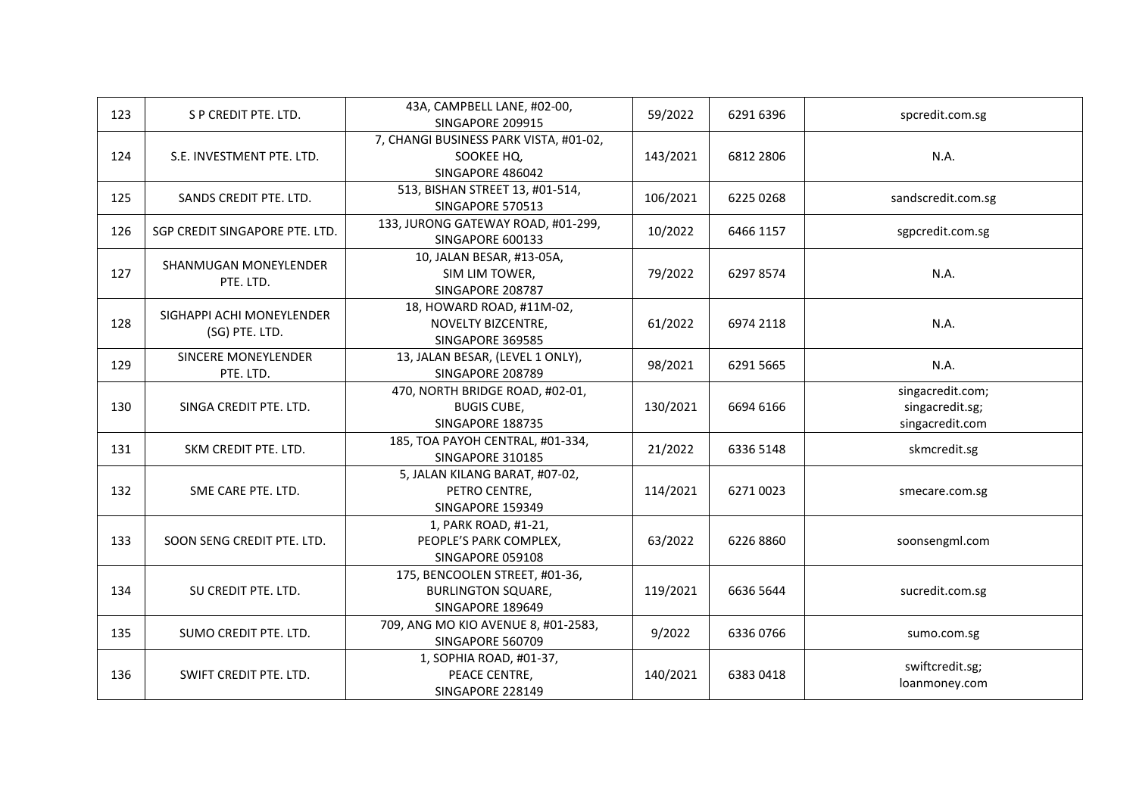| 123 | S P CREDIT PTE. LTD.                        | 43A, CAMPBELL LANE, #02-00,<br>SINGAPORE 209915                                 | 59/2022  | 6291 6396 | spcredit.com.sg                                        |
|-----|---------------------------------------------|---------------------------------------------------------------------------------|----------|-----------|--------------------------------------------------------|
| 124 | S.E. INVESTMENT PTE. LTD.                   | 7, CHANGI BUSINESS PARK VISTA, #01-02,<br>SOOKEE HQ,<br>SINGAPORE 486042        | 143/2021 | 6812 2806 | N.A.                                                   |
| 125 | SANDS CREDIT PTE. LTD.                      | 513, BISHAN STREET 13, #01-514,<br>SINGAPORE 570513                             | 106/2021 | 6225 0268 | sandscredit.com.sg                                     |
| 126 | SGP CREDIT SINGAPORE PTE. LTD.              | 133, JURONG GATEWAY ROAD, #01-299,<br>SINGAPORE 600133                          | 10/2022  | 6466 1157 | sgpcredit.com.sg                                       |
| 127 | SHANMUGAN MONEYLENDER<br>PTE. LTD.          | 10, JALAN BESAR, #13-05A,<br>SIM LIM TOWER,<br>SINGAPORE 208787                 | 79/2022  | 62978574  | N.A.                                                   |
| 128 | SIGHAPPI ACHI MONEYLENDER<br>(SG) PTE. LTD. | 18, HOWARD ROAD, #11M-02,<br>NOVELTY BIZCENTRE,<br>SINGAPORE 369585             | 61/2022  | 6974 2118 | N.A.                                                   |
| 129 | SINCERE MONEYLENDER<br>PTE. LTD.            | 13, JALAN BESAR, (LEVEL 1 ONLY),<br>SINGAPORE 208789                            | 98/2021  | 6291 5665 | N.A.                                                   |
| 130 | SINGA CREDIT PTE. LTD.                      | 470, NORTH BRIDGE ROAD, #02-01,<br><b>BUGIS CUBE,</b><br>SINGAPORE 188735       | 130/2021 | 6694 6166 | singacredit.com;<br>singacredit.sg;<br>singacredit.com |
| 131 | SKM CREDIT PTE. LTD.                        | 185, TOA PAYOH CENTRAL, #01-334,<br>SINGAPORE 310185                            | 21/2022  | 6336 5148 | skmcredit.sg                                           |
| 132 | SME CARE PTE. LTD.                          | 5, JALAN KILANG BARAT, #07-02,<br>PETRO CENTRE,<br>SINGAPORE 159349             | 114/2021 | 62710023  | smecare.com.sg                                         |
| 133 | SOON SENG CREDIT PTE. LTD.                  | 1, PARK ROAD, #1-21,<br>PEOPLE'S PARK COMPLEX,<br>SINGAPORE 059108              | 63/2022  | 62268860  | soonsengml.com                                         |
| 134 | SU CREDIT PTE. LTD.                         | 175, BENCOOLEN STREET, #01-36,<br><b>BURLINGTON SQUARE,</b><br>SINGAPORE 189649 | 119/2021 | 6636 5644 | sucredit.com.sg                                        |
| 135 | SUMO CREDIT PTE. LTD.                       | 709, ANG MO KIO AVENUE 8, #01-2583,<br>SINGAPORE 560709                         | 9/2022   | 63360766  | sumo.com.sg                                            |
| 136 | SWIFT CREDIT PTE. LTD.                      | 1, SOPHIA ROAD, #01-37,<br>PEACE CENTRE,<br>SINGAPORE 228149                    | 140/2021 | 63830418  | swiftcredit.sg;<br>loanmoney.com                       |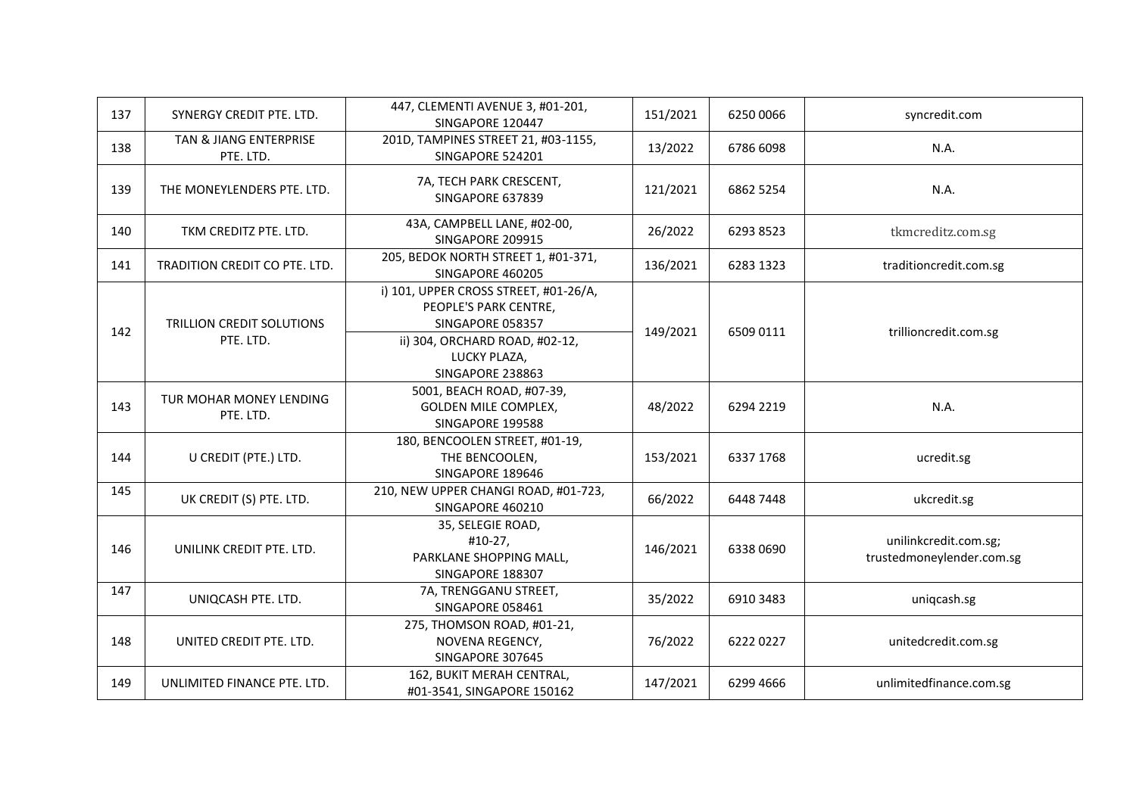| 137 | SYNERGY CREDIT PTE. LTD.                      | 447, CLEMENTI AVENUE 3, #01-201,<br>SINGAPORE 120447                                                                                                     | 151/2021 | 6250 0066 | syncredit.com                                      |
|-----|-----------------------------------------------|----------------------------------------------------------------------------------------------------------------------------------------------------------|----------|-----------|----------------------------------------------------|
| 138 | TAN & JIANG ENTERPRISE<br>PTE. LTD.           | 201D, TAMPINES STREET 21, #03-1155,<br>SINGAPORE 524201                                                                                                  | 13/2022  | 6786 6098 | N.A.                                               |
| 139 | THE MONEYLENDERS PTE. LTD.                    | 7A, TECH PARK CRESCENT,<br>SINGAPORE 637839                                                                                                              | 121/2021 | 6862 5254 | N.A.                                               |
| 140 | TKM CREDITZ PTE. LTD.                         | 43A, CAMPBELL LANE, #02-00,<br>SINGAPORE 209915                                                                                                          | 26/2022  | 6293 8523 | tkmcreditz.com.sg                                  |
| 141 | TRADITION CREDIT CO PTE. LTD.                 | 205, BEDOK NORTH STREET 1, #01-371,<br>SINGAPORE 460205                                                                                                  | 136/2021 | 6283 1323 | traditioncredit.com.sg                             |
| 142 | <b>TRILLION CREDIT SOLUTIONS</b><br>PTE. LTD. | i) 101, UPPER CROSS STREET, #01-26/A,<br>PEOPLE'S PARK CENTRE,<br>SINGAPORE 058357<br>ii) 304, ORCHARD ROAD, #02-12,<br>LUCKY PLAZA,<br>SINGAPORE 238863 | 149/2021 | 6509 0111 | trillioncredit.com.sg                              |
| 143 | TUR MOHAR MONEY LENDING<br>PTE. LTD.          | 5001, BEACH ROAD, #07-39,<br><b>GOLDEN MILE COMPLEX,</b><br>SINGAPORE 199588                                                                             | 48/2022  | 6294 2219 | N.A.                                               |
| 144 | U CREDIT (PTE.) LTD.                          | 180, BENCOOLEN STREET, #01-19,<br>THE BENCOOLEN,<br>SINGAPORE 189646                                                                                     | 153/2021 | 6337 1768 | ucredit.sg                                         |
| 145 | UK CREDIT (S) PTE. LTD.                       | 210, NEW UPPER CHANGI ROAD, #01-723,<br>SINGAPORE 460210                                                                                                 | 66/2022  | 6448 7448 | ukcredit.sg                                        |
| 146 | UNILINK CREDIT PTE. LTD.                      | 35, SELEGIE ROAD,<br>#10-27,<br>PARKLANE SHOPPING MALL,<br>SINGAPORE 188307                                                                              | 146/2021 | 6338 0690 | unilinkcredit.com.sg;<br>trustedmoneylender.com.sg |
| 147 | UNIQCASH PTE. LTD.                            | 7A, TRENGGANU STREET,<br>SINGAPORE 058461                                                                                                                | 35/2022  | 6910 3483 | uniqcash.sg                                        |
| 148 | UNITED CREDIT PTE. LTD.                       | 275, THOMSON ROAD, #01-21,<br>NOVENA REGENCY,<br>SINGAPORE 307645                                                                                        | 76/2022  | 62220227  | unitedcredit.com.sg                                |
| 149 | UNLIMITED FINANCE PTE. LTD.                   | 162, BUKIT MERAH CENTRAL,<br>#01-3541, SINGAPORE 150162                                                                                                  | 147/2021 | 6299 4666 | unlimitedfinance.com.sg                            |